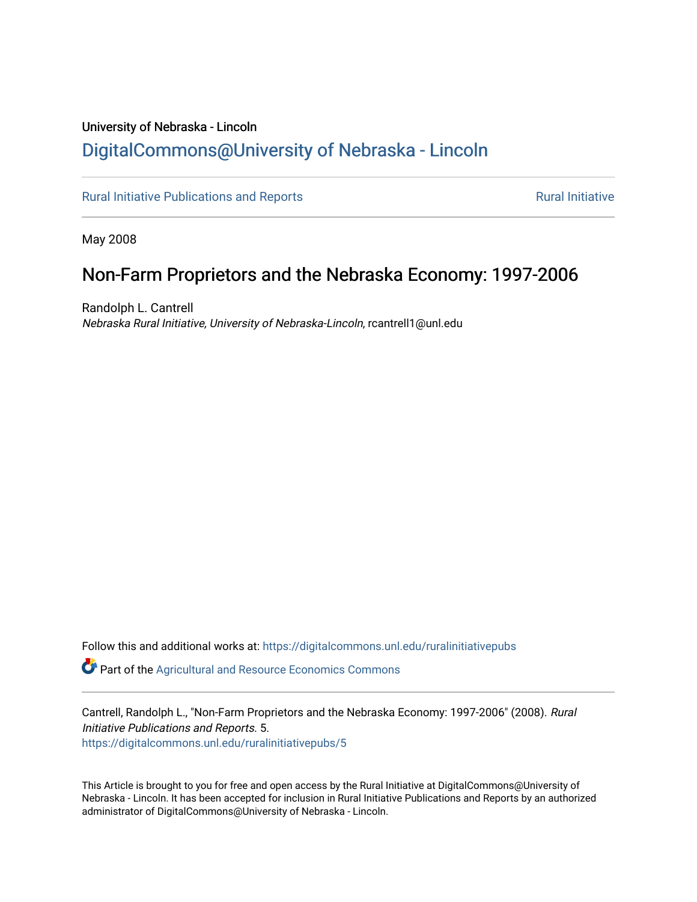# University of Nebraska - Lincoln [DigitalCommons@University of Nebraska - Lincoln](https://digitalcommons.unl.edu/)

[Rural Initiative Publications and Reports](https://digitalcommons.unl.edu/ruralinitiativepubs) **[Rural Initiative](https://digitalcommons.unl.edu/rural_initiative) Rural Initiative** Rural Initiative

May 2008

# Non-Farm Proprietors and the Nebraska Economy: 1997-2006

Randolph L. Cantrell Nebraska Rural Initiative, University of Nebraska-Lincoln, rcantrell1@unl.edu

Follow this and additional works at: [https://digitalcommons.unl.edu/ruralinitiativepubs](https://digitalcommons.unl.edu/ruralinitiativepubs?utm_source=digitalcommons.unl.edu%2Fruralinitiativepubs%2F5&utm_medium=PDF&utm_campaign=PDFCoverPages) 

**P** Part of the Agricultural and Resource Economics Commons

Cantrell, Randolph L., "Non-Farm Proprietors and the Nebraska Economy: 1997-2006" (2008). Rural Initiative Publications and Reports. 5. [https://digitalcommons.unl.edu/ruralinitiativepubs/5](https://digitalcommons.unl.edu/ruralinitiativepubs/5?utm_source=digitalcommons.unl.edu%2Fruralinitiativepubs%2F5&utm_medium=PDF&utm_campaign=PDFCoverPages) 

This Article is brought to you for free and open access by the Rural Initiative at DigitalCommons@University of Nebraska - Lincoln. It has been accepted for inclusion in Rural Initiative Publications and Reports by an authorized administrator of DigitalCommons@University of Nebraska - Lincoln.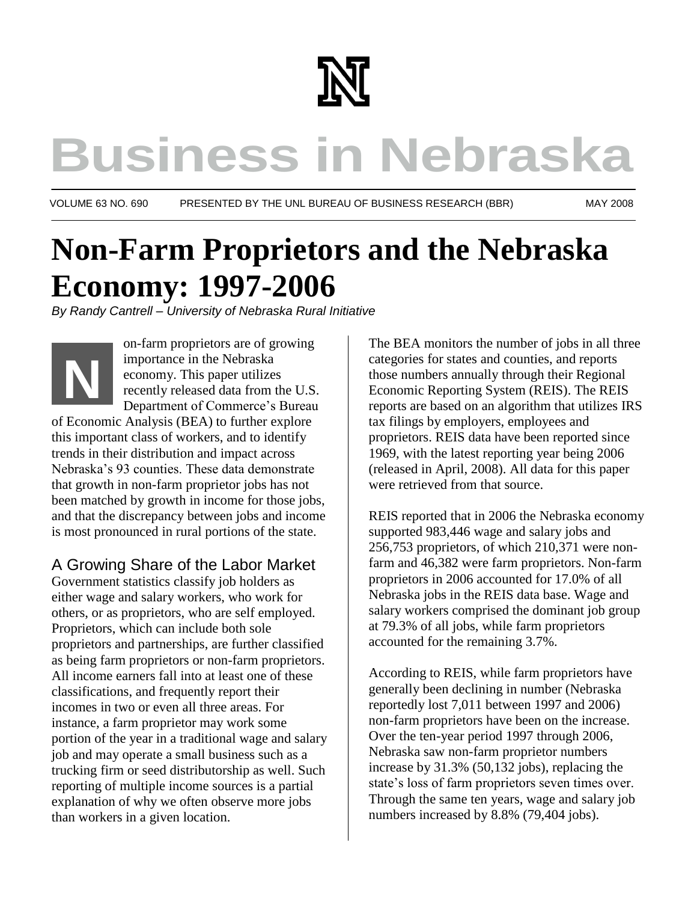

# **Business in Nebraska**

VOLUME 63 NO. 690 PRESENTED BY THE UNL BUREAU OF BUSINESS RESEARCH (BBR) MAY 2008

# **Non-Farm Proprietors and the Nebraska Economy: 1997-2006**

*By Randy Cantrell – University of Nebraska Rural Initiative*



of Economic Analysis (BEA) to further explore this important class of workers, and to identify trends in their distribution and impact across Nebraska's 93 counties. These data demonstrate that growth in non-farm proprietor jobs has not been matched by growth in income for those jobs, and that the discrepancy between jobs and income is most pronounced in rural portions of the state.

# A Growing Share of the Labor Market

Government statistics classify job holders as either wage and salary workers, who work for others, or as proprietors, who are self employed. Proprietors, which can include both sole proprietors and partnerships, are further classified as being farm proprietors or non-farm proprietors. All income earners fall into at least one of these classifications, and frequently report their incomes in two or even all three areas. For instance, a farm proprietor may work some portion of the year in a traditional wage and salary job and may operate a small business such as a trucking firm or seed distributorship as well. Such reporting of multiple income sources is a partial explanation of why we often observe more jobs than workers in a given location.

The BEA monitors the number of jobs in all three categories for states and counties, and reports those numbers annually through their Regional Economic Reporting System (REIS). The REIS reports are based on an algorithm that utilizes IRS tax filings by employers, employees and proprietors. REIS data have been reported since 1969, with the latest reporting year being 2006 (released in April, 2008). All data for this paper were retrieved from that source.

REIS reported that in 2006 the Nebraska economy supported 983,446 wage and salary jobs and 256,753 proprietors, of which 210,371 were nonfarm and 46,382 were farm proprietors. Non-farm proprietors in 2006 accounted for 17.0% of all Nebraska jobs in the REIS data base. Wage and salary workers comprised the dominant job group at 79.3% of all jobs, while farm proprietors accounted for the remaining 3.7%.

According to REIS, while farm proprietors have generally been declining in number (Nebraska reportedly lost 7,011 between 1997 and 2006) non-farm proprietors have been on the increase. Over the ten-year period 1997 through 2006, Nebraska saw non-farm proprietor numbers increase by 31.3% (50,132 jobs), replacing the state's loss of farm proprietors seven times over. Through the same ten years, wage and salary job numbers increased by 8.8% (79,404 jobs).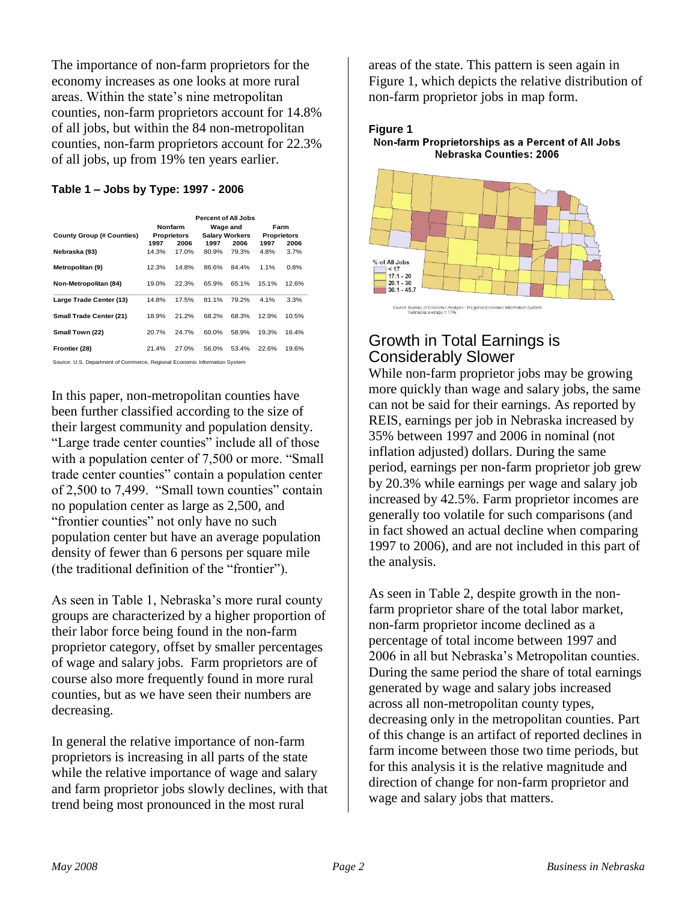The importance of non-farm proprietors for the economy increases as one looks at more rural areas. Within the state's nine metropolitan counties, non-farm proprietors account for 14.8% of all jobs, but within the 84 non-metropolitan counties, non-farm proprietors account for 22.3% of all jobs, up from 19% ten years earlier.

#### **Table 1 – Jobs by Type: 1997 - 2006**

|                                  |                               |       | <b>Percent of All Jobs</b>        |       |                            |       |
|----------------------------------|-------------------------------|-------|-----------------------------------|-------|----------------------------|-------|
|                                  | <b>Nonfarm</b><br>Proprietors |       | Wage and<br><b>Salary Workers</b> |       | Farm<br><b>Proprietors</b> |       |
| <b>County Group (# Counties)</b> |                               |       |                                   |       |                            |       |
|                                  | 1997                          | 2006  | 1997                              | 2006  | 1997                       | 2006  |
| Nebraska (93)                    | 14.3%                         | 17.0% | 80.9%                             | 79.3% | 4.8%                       | 3.7%  |
| Metropolitan (9)                 | 12.3%                         | 14.8% | 86.6%                             | 84.4% | 1.1%                       | 0.8%  |
| Non-Metropolitan (84)            | 19.0%                         | 22.3% | 65.9%                             | 65.1% | 15.1%                      | 12.6% |
| Large Trade Center (13)          | 14.8%                         | 17.5% | 81.1%                             | 79.2% | 4.1%                       | 3.3%  |
| Small Trade Center (21)          | 18.9%                         | 21.2% | 68.2%                             | 68.3% | 12.9%                      | 10.5% |
| Small Town (22)                  | 20.7%                         | 24.7% | 60.0%                             | 58.9% | 19.3%                      | 16.4% |
| Frontier (28)                    | 21.4%                         | 27.0% | 56.0%                             | 53.4% | 22.6%                      | 19.6% |

In this paper, non-metropolitan counties have been further classified according to the size of their largest community and population density. "Large trade center counties" include all of those with a population center of 7,500 or more. "Small trade center counties" contain a population center of 2,500 to 7,499. "Small town counties" contain no population center as large as 2,500, and "frontier counties" not only have no such population center but have an average population density of fewer than 6 persons per square mile (the traditional definition of the "frontier").

As seen in Table 1, Nebraska's more rural county groups are characterized by a higher proportion of their labor force being found in the non-farm proprietor category, offset by smaller percentages of wage and salary jobs. Farm proprietors are of course also more frequently found in more rural counties, but as we have seen their numbers are decreasing.

In general the relative importance of non-farm proprietors is increasing in all parts of the state while the relative importance of wage and salary and farm proprietor jobs slowly declines, with that trend being most pronounced in the most rural

areas of the state. This pattern is seen again in Figure 1, which depicts the relative distribution of non-farm proprietor jobs in map form.



Non-farm Proprietorships as a Percent of All Jobs Nebraska Counties: 2006



# Growth in Total Earnings is Considerably Slower

While non-farm proprietor jobs may be growing more quickly than wage and salary jobs, the same can not be said for their earnings. As reported by REIS, earnings per job in Nebraska increased by 35% between 1997 and 2006 in nominal (not inflation adjusted) dollars. During the same period, earnings per non-farm proprietor job grew by 20.3% while earnings per wage and salary job increased by 42.5%. Farm proprietor incomes are generally too volatile for such comparisons (and in fact showed an actual decline when comparing 1997 to 2006), and are not included in this part of the analysis.

As seen in Table 2, despite growth in the nonfarm proprietor share of the total labor market, non-farm proprietor income declined as a percentage of total income between 1997 and 2006 in all but Nebraska's Metropolitan counties. During the same period the share of total earnings generated by wage and salary jobs increased across all non-metropolitan county types, decreasing only in the metropolitan counties. Part of this change is an artifact of reported declines in farm income between those two time periods, but for this analysis it is the relative magnitude and direction of change for non-farm proprietor and wage and salary jobs that matters.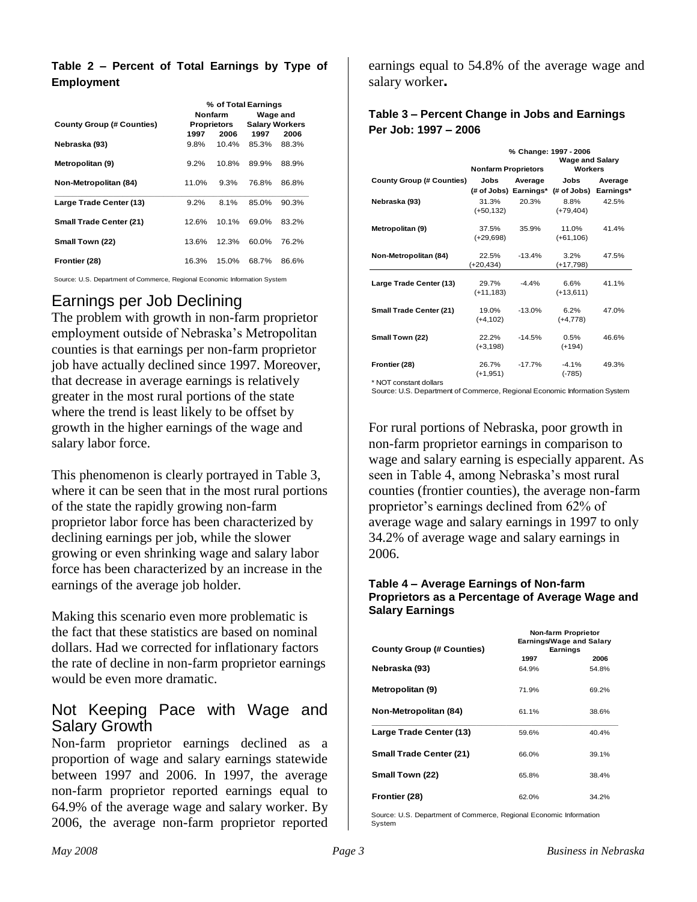#### **Table 2 – Percent of Total Earnings by Type of Employment**

|                                  | % of Total Earnings |       |                       |       |
|----------------------------------|---------------------|-------|-----------------------|-------|
|                                  | <b>Nonfarm</b>      |       | Wage and              |       |
| <b>County Group (# Counties)</b> | Proprietors         |       | <b>Salary Workers</b> |       |
|                                  | 1997                | 2006  | 1997                  | 2006  |
| Nebraska (93)                    | $9.8\%$             | 10.4% | 85.3%                 | 88.3% |
| Metropolitan (9)                 | $9.2\%$             | 10.8% | 89.9%                 | 88.9% |
| Non-Metropolitan (84)            | 11.0%               | 9.3%  | 76.8%                 | 86.8% |
| Large Trade Center (13)          | $9.2\%$             | 8.1%  | 85.0%                 | 90.3% |
| <b>Small Trade Center (21)</b>   | 12.6%               | 10.1% | 69.0%                 | 83.2% |
| Small Town (22)                  | 13.6%               | 12.3% | 60.0%                 | 76.2% |
| Frontier (28)                    | 16.3%               | 15.0% | 68.7%                 | 86.6% |

Source: U.S. Department of Commerce, Regional Economic Information System

### Earnings per Job Declining

The problem with growth in non-farm proprietor employment outside of Nebraska's Metropolitan counties is that earnings per non-farm proprietor job have actually declined since 1997. Moreover, that decrease in average earnings is relatively greater in the most rural portions of the state where the trend is least likely to be offset by growth in the higher earnings of the wage and salary labor force.

This phenomenon is clearly portrayed in Table 3, where it can be seen that in the most rural portions of the state the rapidly growing non-farm proprietor labor force has been characterized by declining earnings per job, while the slower growing or even shrinking wage and salary labor force has been characterized by an increase in the earnings of the average job holder.

Making this scenario even more problematic is the fact that these statistics are based on nominal dollars. Had we corrected for inflationary factors the rate of decline in non-farm proprietor earnings would be even more dramatic.

#### Not Keeping Pace with Wage and Salary Growth

Non-farm proprietor earnings declined as a proportion of wage and salary earnings statewide between 1997 and 2006. In 1997, the average non-farm proprietor reported earnings equal to 64.9% of the average wage and salary worker. By 2006, the average non-farm proprietor reported earnings equal to 54.8% of the average wage and salary worker**.** 

#### **Table 3 – Percent Change in Jobs and Earnings Per Job: 1997 – 2006**

|                                  | % Change: 1997 - 2006<br><b>Wage and Salary</b> |          |                                             |         |  |
|----------------------------------|-------------------------------------------------|----------|---------------------------------------------|---------|--|
|                                  | <b>Nonfarm Proprietors</b>                      |          | <b>Workers</b>                              |         |  |
| <b>County Group (# Counties)</b> | Jobs<br>Average                                 |          | Jobs                                        | Average |  |
|                                  |                                                 |          | (# of Jobs) Earnings* (# of Jobs) Earnings* |         |  |
| Nebraska (93)                    | 31.3%                                           | 20.3%    | 8.8%                                        | 42.5%   |  |
|                                  | $(+50, 132)$                                    |          | $(+79,404)$                                 |         |  |
|                                  |                                                 |          |                                             |         |  |
| Metropolitan (9)                 | 37.5%                                           | 35.9%    | 11.0%                                       | 41.4%   |  |
|                                  | $(+29,698)$                                     |          | $(+61,106)$                                 |         |  |
| Non-Metropolitan (84)            | 22.5%                                           | $-13.4%$ | 3.2%                                        | 47.5%   |  |
|                                  | $(+20, 434)$                                    |          | $(+17,798)$                                 |         |  |
|                                  |                                                 |          |                                             |         |  |
| Large Trade Center (13)          | 29.7%                                           | $-4.4%$  | 6.6%                                        | 41.1%   |  |
|                                  | $(+11, 183)$                                    |          | $(+13,611)$                                 |         |  |
| <b>Small Trade Center (21)</b>   | 19.0%                                           | $-13.0%$ | 6.2%                                        | 47.0%   |  |
|                                  | $(+4, 102)$                                     |          | $(+4,778)$                                  |         |  |
|                                  |                                                 |          |                                             |         |  |
| Small Town (22)                  | 22.2%                                           | $-14.5%$ | 0.5%                                        | 46.6%   |  |
|                                  | $(+3, 198)$                                     |          | $(+194)$                                    |         |  |
| Frontier (28)                    | 26.7%                                           | $-17.7%$ | $-4.1%$                                     | 49.3%   |  |
|                                  | $(+1, 951)$                                     |          | $(-785)$                                    |         |  |
| * NOT constant dollars           |                                                 |          |                                             |         |  |

Source: U.S. Department of Commerce, Regional Economic Information System

For rural portions of Nebraska, poor growth in non-farm proprietor earnings in comparison to wage and salary earning is especially apparent. As seen in Table 4, among Nebraska's most rural counties (frontier counties), the average non-farm proprietor's earnings declined from 62% of average wage and salary earnings in 1997 to only 34.2% of average wage and salary earnings in 2006.

#### **Table 4 – Average Earnings of Non-farm Proprietors as a Percentage of Average Wage and Salary Earnings**

|                                  | Non-farm Proprietor<br>Earnings/Wage and Salary |          |  |  |
|----------------------------------|-------------------------------------------------|----------|--|--|
| <b>County Group (# Counties)</b> |                                                 | Earnings |  |  |
|                                  | 1997                                            | 2006     |  |  |
| Nebraska (93)                    | 64.9%                                           | 54.8%    |  |  |
| Metropolitan (9)                 | 71.9%                                           | 69.2%    |  |  |
| Non-Metropolitan (84)            | 61.1%                                           | 38.6%    |  |  |
| Large Trade Center (13)          | 59.6%                                           | 40.4%    |  |  |
| <b>Small Trade Center (21)</b>   | 66.0%                                           | 39.1%    |  |  |
| Small Town (22)                  | 65.8%                                           | 38.4%    |  |  |
| Frontier (28)                    | 62.0%                                           | 34.2%    |  |  |

Source: U.S. Department of Commerce, Regional Economic Information System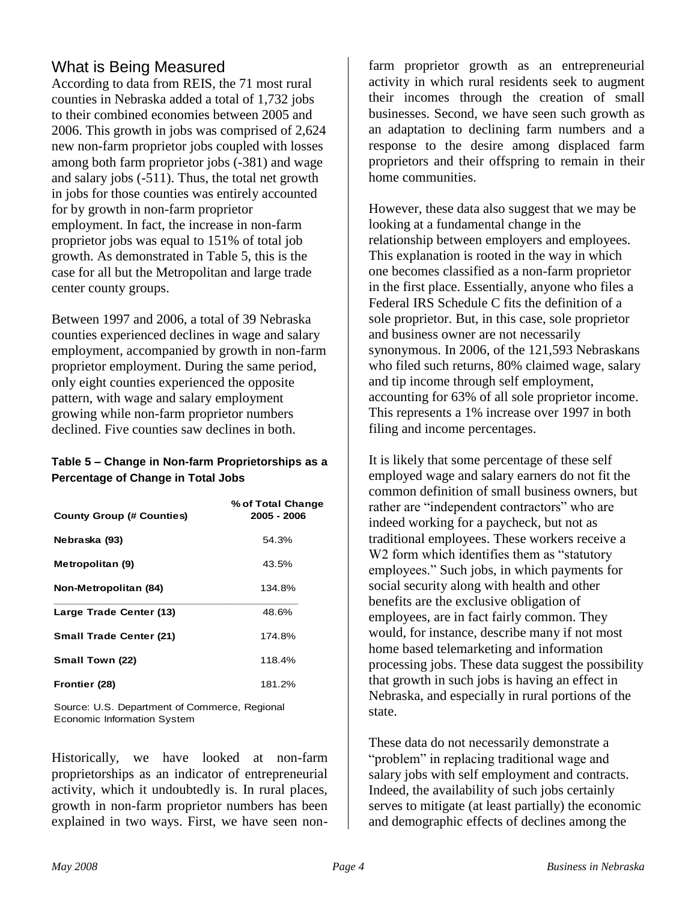## What is Being Measured

According to data from REIS, the 71 most rural counties in Nebraska added a total of 1,732 jobs to their combined economies between 2005 and 2006. This growth in jobs was comprised of 2,624 new non-farm proprietor jobs coupled with losses among both farm proprietor jobs (-381) and wage and salary jobs (-511). Thus, the total net growth in jobs for those counties was entirely accounted for by growth in non-farm proprietor employment. In fact, the increase in non-farm proprietor jobs was equal to 151% of total job growth. As demonstrated in Table 5, this is the case for all but the Metropolitan and large trade center county groups.

Between 1997 and 2006, a total of 39 Nebraska counties experienced declines in wage and salary employment, accompanied by growth in non-farm proprietor employment. During the same period, only eight counties experienced the opposite pattern, with wage and salary employment growing while non-farm proprietor numbers declined. Five counties saw declines in both.

#### **Table 5 – Change in Non-farm Proprietorships as a Percentage of Change in Total Jobs**

| <b>County Group (# Counties)</b> | % of Total Change<br>2005 - 2006 |
|----------------------------------|----------------------------------|
| Nebraska (93)                    | 54.3%                            |
| Metropolitan (9)                 | 43.5%                            |
| Non-Metropolitan (84)            | 134.8%                           |
| Large Trade Center (13)          | 48.6%                            |
| <b>Small Trade Center (21)</b>   | 174.8%                           |
| Small Town (22)                  | 118.4%                           |
| Frontier (28)                    | 181.2%                           |

Source: U.S. Department of Commerce, Regional Economic Information System

Historically, we have looked at non-farm proprietorships as an indicator of entrepreneurial activity, which it undoubtedly is. In rural places, growth in non-farm proprietor numbers has been explained in two ways. First, we have seen nonfarm proprietor growth as an entrepreneurial activity in which rural residents seek to augment their incomes through the creation of small businesses. Second, we have seen such growth as an adaptation to declining farm numbers and a response to the desire among displaced farm proprietors and their offspring to remain in their home communities.

However, these data also suggest that we may be looking at a fundamental change in the relationship between employers and employees. This explanation is rooted in the way in which one becomes classified as a non-farm proprietor in the first place. Essentially, anyone who files a Federal IRS Schedule C fits the definition of a sole proprietor. But, in this case, sole proprietor and business owner are not necessarily synonymous. In 2006, of the 121,593 Nebraskans who filed such returns, 80% claimed wage, salary and tip income through self employment, accounting for 63% of all sole proprietor income. This represents a 1% increase over 1997 in both filing and income percentages.

It is likely that some percentage of these self employed wage and salary earners do not fit the common definition of small business owners, but rather are "independent contractors" who are indeed working for a paycheck, but not as traditional employees. These workers receive a W<sub>2</sub> form which identifies them as "statutory" employees." Such jobs, in which payments for social security along with health and other benefits are the exclusive obligation of employees, are in fact fairly common. They would, for instance, describe many if not most home based telemarketing and information processing jobs. These data suggest the possibility that growth in such jobs is having an effect in Nebraska, and especially in rural portions of the state.

These data do not necessarily demonstrate a "problem" in replacing traditional wage and salary jobs with self employment and contracts. Indeed, the availability of such jobs certainly serves to mitigate (at least partially) the economic and demographic effects of declines among the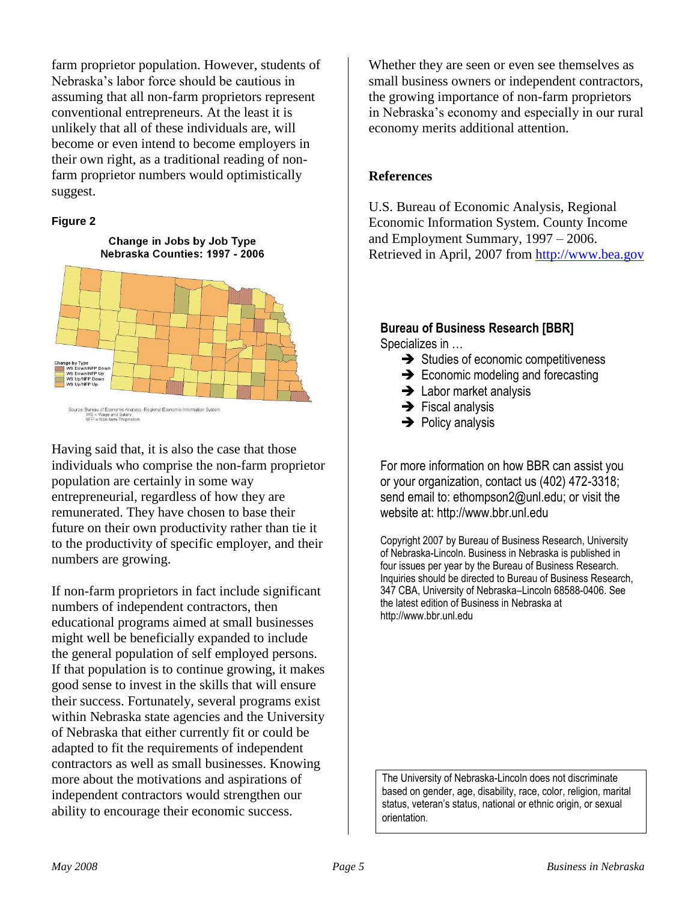farm proprietor population. However, students of Nebraska's labor force should be cautious in assuming that all non-farm proprietors represent conventional entrepreneurs. At the least it is unlikely that all of these individuals are, will become or even intend to become employers in their own right, as a traditional reading of nonfarm proprietor numbers would optimistically suggest.

#### **Figure 2**

#### Change in Jobs by Job Type Nebraska Counties: 1997 - 2006



Having said that, it is also the case that those individuals who comprise the non-farm proprietor population are certainly in some way entrepreneurial, regardless of how they are remunerated. They have chosen to base their future on their own productivity rather than tie it to the productivity of specific employer, and their numbers are growing.

If non-farm proprietors in fact include significant numbers of independent contractors, then educational programs aimed at small businesses might well be beneficially expanded to include the general population of self employed persons. If that population is to continue growing, it makes good sense to invest in the skills that will ensure their success. Fortunately, several programs exist within Nebraska state agencies and the University of Nebraska that either currently fit or could be adapted to fit the requirements of independent contractors as well as small businesses. Knowing more about the motivations and aspirations of independent contractors would strengthen our ability to encourage their economic success.

Whether they are seen or even see themselves as small business owners or independent contractors, the growing importance of non-farm proprietors in Nebraska's economy and especially in our rural economy merits additional attention.

#### **References**

U.S. Bureau of Economic Analysis, Regional Economic Information System. County Income and Employment Summary, 1997 – 2006. Retrieved in April, 2007 from [http://www.bea.gov](http://www.bea.gov/)

#### **Bureau of Business Research [BBR]** Specializes in …

- $\rightarrow$  Studies of economic competitiveness
- $\rightarrow$  Economic modeling and forecasting
- $\rightarrow$  Labor market analysis
- $\rightarrow$  Fiscal analysis
- $\rightarrow$  Policy analysis

For more information on how BBR can assist you or your organization, contact us (402) 472-3318; send email to: ethompson2@unl.edu; or visit the website at: http://www.bbr.unl.edu

Copyright 2007 by Bureau of Business Research, University of Nebraska-Lincoln. Business in Nebraska is published in four issues per year by the Bureau of Business Research. Inquiries should be directed to Bureau of Business Research, 347 CBA, University of Nebraska–Lincoln 68588-0406. See the latest edition of Business in Nebraska at http://www.bbr.unl.edu

The University of Nebraska-Lincoln does not discriminate based on gender, age, disability, race, color, religion, marital status, veteran's status, national or ethnic origin, or sexual orientation.